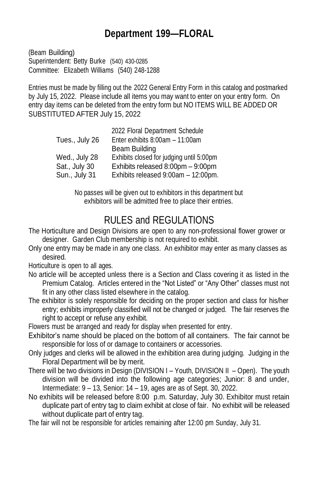## **Department 199—FLORAL**

(Beam Building) Superintendent: Betty Burke (540) 430-0285 Committee: Elizabeth Williams (540) 248-1288

Entries must be made by filling out the 2022 General Entry Form in this catalog and postmarked by July 15, 2022. Please include all items you may want to enter on your entry form. On entry day items can be deleted from the entry form but NO ITEMS WILL BE ADDED OR SUBSTITUTED AFTER July 15, 2022

| 2022 Floral Department Schedule          |
|------------------------------------------|
| Enter exhibits 8:00am - 11:00am          |
| Beam Building                            |
| Exhibits closed for judging until 5:00pm |
| Exhibits released 8:00pm - 9:00pm        |
| Exhibits released 9:00am - 12:00pm.      |
|                                          |

No passes will be given out to exhibitors in this department but exhibitors will be admitted free to place their entries.

# RULES and REGULATIONS

- The Horticulture and Design Divisions are open to any non-professional flower grower or designer. Garden Club membership is not required to exhibit.
- Only one entry may be made in any one class. An exhibitor may enter as many classes as desired.

Horticulture is open to all ages.

- No article will be accepted unless there is a Section and Class covering it as listed in the Premium Catalog. Articles entered in the "Not Listed" or "Any Other" classes must not fit in any other class listed elsewhere in the catalog.
- The exhibitor is solely responsible for deciding on the proper section and class for his/her entry; exhibits improperly classified will not be changed or judged. The fair reserves the right to accept or refuse any exhibit.

Flowers must be arranged and ready for display when presented for entry.

- Exhibitor's name should be placed on the bottom of all containers. The fair cannot be responsible for loss of or damage to containers or accessories.
- Only judges and clerks will be allowed in the exhibition area during judging. Judging in the Floral Department will be by merit.
- There will be two divisions in Design (DIVISION I Youth, DIVISION II Open). The youth division will be divided into the following age categories; Junior: 8 and under, Intermediate: 9 – 13, Senior: 14 – 19, ages are as of Sept. 30, 2022.
- No exhibits will be released before 8:00 p.m. Saturday, July 30. Exhibitor must retain duplicate part of entry tag to claim exhibit at close of fair. No exhibit will be released without duplicate part of entry tag.

The fair will not be responsible for articles remaining after 12:00 pm Sunday, July 31.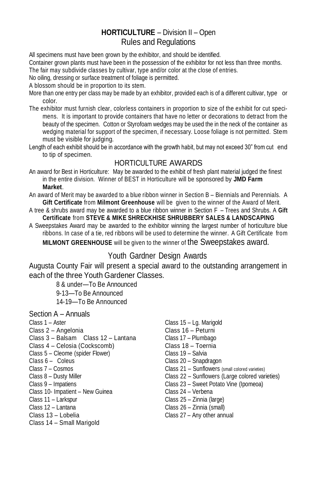## **HORTICULTURE** – Division II – Open Rules and Regulations

All specimens must have been grown by the exhibitor, and should be identified.

Container grown plants must have been in the possession of the exhibitor for not less than three months.

The fair may subdivide classes by cultivar, type and/or color at the close of entries.

No oiling, dressing or surface treatment of foliage is permitted.

A blossom should be in proportion to its stem.

- More than one entry per class may be made by an exhibitor, provided each is of a different cultivar, type or color.
- The exhibitor must furnish clear, colorless containers in proportion to size of the exhibit for cut specimens. It is important to provide containers that have no letter or decorations to detract from the beauty of the specimen. Cotton or Styrofoam wedges may be used the in the neck of the container as wedging material for support of the specimen, if necessary. Loose foliage is not permitted. Stem must be visible for judging.
- Length of each exhibit should be in accordance with the growth habit, but may not exceed 30" from cut end to tip of specimen.

### HORTICULTURE AWARDS

An award for Best in Horticulture: May be awarded to the exhibit of fresh plant material judged the finest in the entire division. Winner of BEST in Horticulture will be sponsored by **JMD Farm Market**.

- An award of Merit may be awarded to a blue ribbon winner in Section B Biennials and Perennials. A **Gift Certificate** from **Milmont Greenhouse** will be given to the winner of the Award of Merit.
- A tree & shrubs award may be awarded to a blue ribbon winner in Section F Trees and Shrubs. A **Gift Certificate** from **STEVE & MIKE SHRECKHISE SHRUBBERY SALES & LANDSCAPING**
- A Sweepstakes Award may be awarded to the exhibitor winning the largest number of horticulture blue ribbons. In case of a tie, red ribbons will be used to determine the winner. A Gift Certificate from

**MILMONT GREENHOUSE** will be given to the winner of the Sweepstakes award.

## Youth Gardner Design Awards

Augusta County Fair will present a special award to the outstanding arrangement in each of the three Youth Gardener Classes.

> 8 & under—To Be Announced 9-13—To Be Announced 14-19—To Be Announced

- Section A Annuals
- 
- 
- Class 3 Balsam Class 12 Lantana Class 17 Plumbago Class 4 – Celosia (Cockscomb) Class 18 – Toernia
- Class 5 Cleome (spider Flower) Class 19 Salvia
- 
- 
- 
- 
- Class 10- Impatient New Guinea Class 24 Verbena
- 
- 
- 
- Class 14 Small Marigold
- Class 1 Aster Class 15 Lg. Marigold Class 2 – Angelonia Class 16 – Peturni Class 6 – Coleus **Class 20 – Snapdragon** Class 7 – Cosmos Class 21 – Sunflowers (small colored varieties) Class 8 – Dusty Miller Class 22 – Sunflowers (Large colored varieties) Class 9 – Impatiens Class 23 – Sweet Potato Vine (Ipomeoa) Class 11 – Larkspur Class 25 – Zinnia (large) Class 12 – Lantana Class 26 – Zinnia (small) Class 13 – Lobelia Class 27 – Any other annual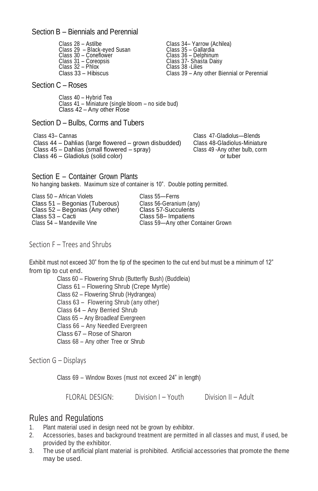#### Section B – Biennials and Perennial

Class 28 – Astilbe Class 34– Yarrow (Achilea) Class 29 – Black-eyed Susan Class 35 – Gallardia Class 30 – Coneflower Class 36 – Delphinum Class 31 – Coreopsis Class 37- Shasta Daisy Class 32 – Phlox Class 38 - Lilies<br>Class 33 – Hibiscus Class 39 – Any

Class 39 – Any other Biennial or Perennial

#### Section C – Roses

Class 40 – Hybrid Tea Class 41 – Miniature (single bloom – no side bud) Class 42 – Any other Rose

#### Section D – Bulbs, Corms and Tubers

Class 43– Cannas Class 47-Gladiolus—Blends Class 44 – Dahlias (large flowered – grown disbudded) Class 48-Gladiolus-Miniature Class 45 – Dahlias (small flowered – spray) Class 49 -Any other bulb, corm Class 46 – Gladiolus (solid color) or tuber

Section E – Container Grown Plants No hanging baskets. Maximum size of container is 10". Double potting permitted.

Class 50 – African Violets<br>Class 51 – Begonias (Tuberous) Class 56-Geranium (any) Class 51 – Begonias (Tuberous) Class 56-Geranium (any) Class 52 – Begonias (Any other) Class 57-Succulents Class 53 – Cacti Class 58– Impatiens<br>Class 54 – Mandeville Vine Class 59– Any other C

Class 59-Any other Container Grown

#### Section F – Trees and Shrubs

Exhibit must not exceed 30" from the tip of the specimen to the cut end but must be a minimum of 12" from tip to cut end.

> Class 60 – Flowering Shrub (Butterfly Bush) (Buddleia) Class 61 – Flowering Shrub (Crepe Myrtle) Class 62 – Flowering Shrub (Hydrangea) Class 63 – Flowering Shrub (any other) Class 64 – Any Berried Shrub Class 65 – Any Broadleaf Evergreen Class 66 – Any Needled Evergreen Class 67 – Rose of Sharon Class 68 – Any other Tree or Shrub

Section G – Displays

Class 69 – Window Boxes (must not exceed 24" in length)

FLORAL DESIGN: Division I – Youth Division II – Adult

### Rules and Regulations

- 1. Plant material used in design need not be grown by exhibitor.
- 2. Accessories, bases and background treatment are permitted in all classes and must, if used, be provided by the exhibitor.
- 3. The use of artificial plant material is prohibited. Artificial accessories that promote the theme may be used.